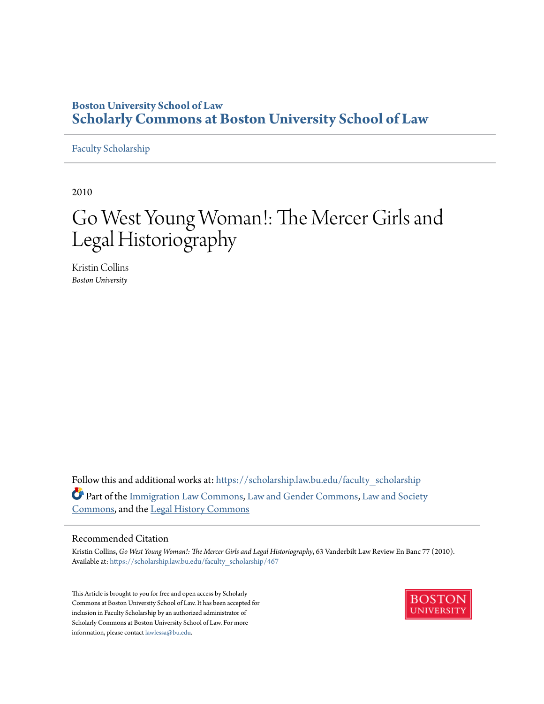### **Boston University School of Law [Scholarly Commons at Boston University School of Law](https://scholarship.law.bu.edu?utm_source=scholarship.law.bu.edu%2Ffaculty_scholarship%2F467&utm_medium=PDF&utm_campaign=PDFCoverPages)**

[Faculty Scholarship](https://scholarship.law.bu.edu/faculty_scholarship?utm_source=scholarship.law.bu.edu%2Ffaculty_scholarship%2F467&utm_medium=PDF&utm_campaign=PDFCoverPages)

2010

# Go West Young Woman!: The Mercer Girls and Legal Historiography

Kristin Collins *Boston University*

Follow this and additional works at: [https://scholarship.law.bu.edu/faculty\\_scholarship](https://scholarship.law.bu.edu/faculty_scholarship?utm_source=scholarship.law.bu.edu%2Ffaculty_scholarship%2F467&utm_medium=PDF&utm_campaign=PDFCoverPages) Part of the [Immigration Law Commons,](http://network.bepress.com/hgg/discipline/604?utm_source=scholarship.law.bu.edu%2Ffaculty_scholarship%2F467&utm_medium=PDF&utm_campaign=PDFCoverPages) [Law and Gender Commons](http://network.bepress.com/hgg/discipline/1298?utm_source=scholarship.law.bu.edu%2Ffaculty_scholarship%2F467&utm_medium=PDF&utm_campaign=PDFCoverPages), [Law and Society](http://network.bepress.com/hgg/discipline/853?utm_source=scholarship.law.bu.edu%2Ffaculty_scholarship%2F467&utm_medium=PDF&utm_campaign=PDFCoverPages) [Commons,](http://network.bepress.com/hgg/discipline/853?utm_source=scholarship.law.bu.edu%2Ffaculty_scholarship%2F467&utm_medium=PDF&utm_campaign=PDFCoverPages) and the [Legal History Commons](http://network.bepress.com/hgg/discipline/904?utm_source=scholarship.law.bu.edu%2Ffaculty_scholarship%2F467&utm_medium=PDF&utm_campaign=PDFCoverPages)

#### Recommended Citation

Kristin Collins, *Go West Young Woman!: The Mercer Girls and Legal Historiography*, 63 Vanderbilt Law Review En Banc 77 (2010). Available at: [https://scholarship.law.bu.edu/faculty\\_scholarship/467](https://scholarship.law.bu.edu/faculty_scholarship/467?utm_source=scholarship.law.bu.edu%2Ffaculty_scholarship%2F467&utm_medium=PDF&utm_campaign=PDFCoverPages)

This Article is brought to you for free and open access by Scholarly Commons at Boston University School of Law. It has been accepted for inclusion in Faculty Scholarship by an authorized administrator of Scholarly Commons at Boston University School of Law. For more information, please contact [lawlessa@bu.edu.](mailto:lawlessa@bu.edu)

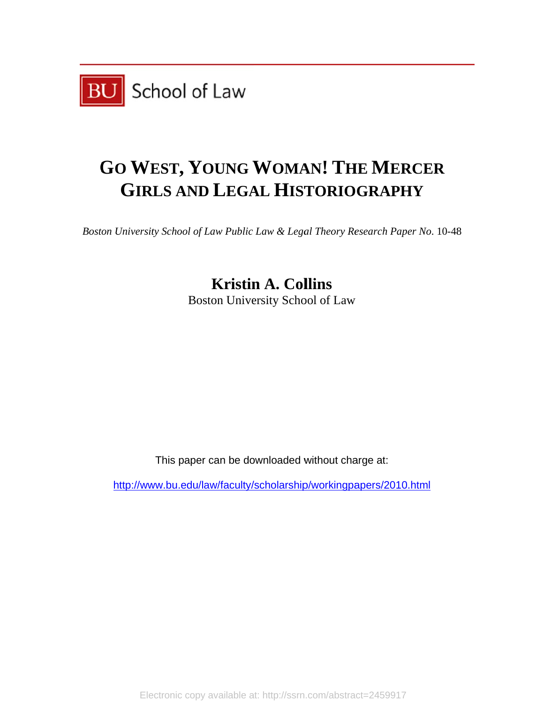

## GO WEST, YOUNG WOMAN! THE MERCER GIRLS AND LEGAL HISTORIOGRAPHY

*Boston University School of Law Public Law & Legal Theory Research Paper No.* 10-48

Boston University School of Law **Kristin A. Collins** 

This paper can be downloaded without charge at:

http://www.bu.edu/law/faculty/scholarship/workingpapers/2010.html

Electronic copy available at: http://ssrn.com/abstract=2459917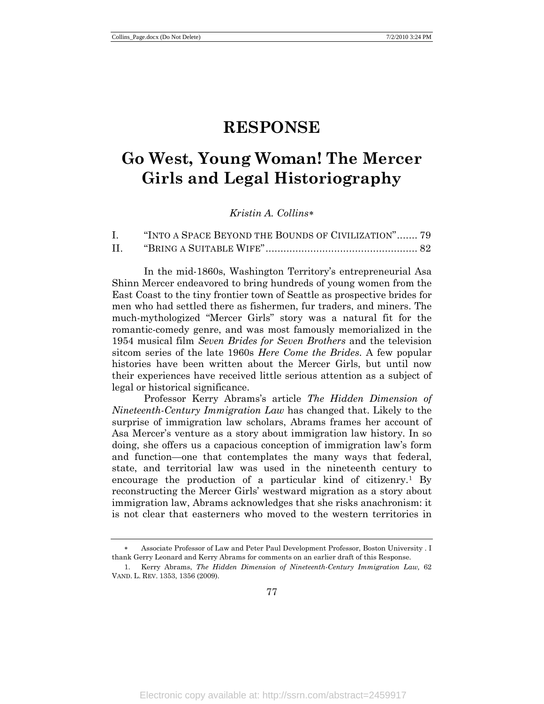### **RESPONSE**

## **Go West, Young Woman! The Mercer Girls and Legal Historiography**

### *Kristin A. Collins*[∗](#page-2-0)

|     | "INTO A SPACE BEYOND THE BOUNDS OF CIVILIZATION" 79 |
|-----|-----------------------------------------------------|
| II. |                                                     |

In the mid-1860s, Washington Territory's entrepreneurial Asa Shinn Mercer endeavored to bring hundreds of young women from the East Coast to the tiny frontier town of Seattle as prospective brides for men who had settled there as fishermen, fur traders, and miners. The much-mythologized "Mercer Girls" story was a natural fit for the romantic-comedy genre, and was most famously memorialized in the 1954 musical film *Seven Brides for Seven Brothers* and the television sitcom series of the late 1960s *Here Come the Brides*. A few popular histories have been written about the Mercer Girls, but until now their experiences have received little serious attention as a subject of legal or historical significance.

Professor Kerry Abrams's article *The Hidden Dimension of Nineteenth-Century Immigration Law* has changed that. Likely to the surprise of immigration law scholars, Abrams frames her account of Asa Mercer's venture as a story about immigration law history. In so doing, she offers us a capacious conception of immigration law's form and function—one that contemplates the many ways that federal, state, and territorial law was used in the nineteenth century to encourage the production of a particular kind of citizenry.<sup>[1](#page-2-1)</sup> By reconstructing the Mercer Girls' westward migration as a story about immigration law, Abrams acknowledges that she risks anachronism: it is not clear that easterners who moved to the western territories in

<span id="page-2-0"></span><sup>∗</sup> Associate Professor of Law and Peter Paul Development Professor, Boston University . I thank Gerry Leonard and Kerry Abrams for comments on an earlier draft of this Response.

<span id="page-2-1"></span><sup>1.</sup> Kerry Abrams, *The Hidden Dimension of Nineteenth-Century Immigration Law,* 62 VAND. L. REV. 1353, 1356 (2009).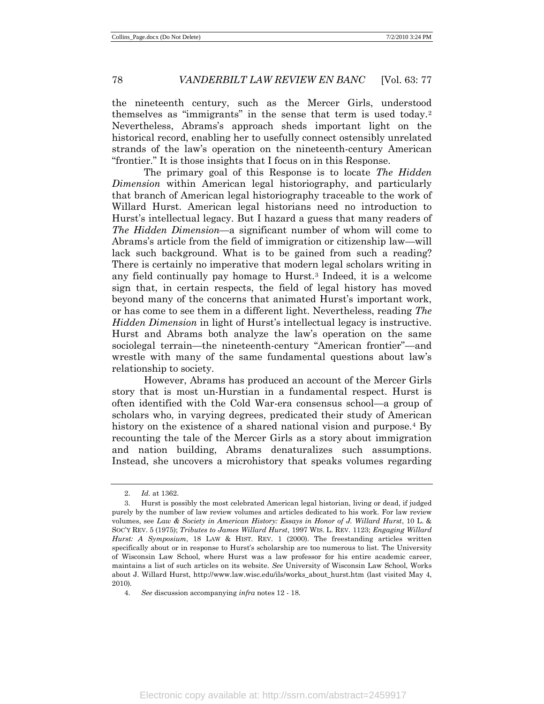the nineteenth century, such as the Mercer Girls, understood themselves as "immigrants" in the sense that term is used today.[2](#page-3-0) Nevertheless, Abrams's approach sheds important light on the historical record, enabling her to usefully connect ostensibly unrelated strands of the law's operation on the nineteenth-century American "frontier." It is those insights that I focus on in this Response.

The primary goal of this Response is to locate *The Hidden Dimension* within American legal historiography, and particularly that branch of American legal historiography traceable to the work of Willard Hurst. American legal historians need no introduction to Hurst's intellectual legacy. But I hazard a guess that many readers of *The Hidden Dimension—*a significant number of whom will come to Abrams's article from the field of immigration or citizenship law—will lack such background. What is to be gained from such a reading? There is certainly no imperative that modern legal scholars writing in any field continually pay homage to Hurst. [3](#page-3-1) Indeed, it is a welcome sign that, in certain respects, the field of legal history has moved beyond many of the concerns that animated Hurst's important work, or has come to see them in a different light. Nevertheless, reading *The Hidden Dimension* in light of Hurst's intellectual legacy is instructive. Hurst and Abrams both analyze the law's operation on the same sociolegal terrain*—*the nineteenth-century "American frontier"*—*and wrestle with many of the same fundamental questions about law's relationship to society.

However, Abrams has produced an account of the Mercer Girls story that is most un-Hurstian in a fundamental respect. Hurst is often identified with the Cold War-era consensus school—a group of scholars who, in varying degrees, predicated their study of American history on the existence of a shared national vision and purpose.<sup>[4](#page-3-2)</sup> By recounting the tale of the Mercer Girls as a story about immigration and nation building, Abrams denaturalizes such assumptions. Instead, she uncovers a microhistory that speaks volumes regarding

<sup>2.</sup> *Id.* at 1362.

<span id="page-3-1"></span><span id="page-3-0"></span><sup>3.</sup> Hurst is possibly the most celebrated American legal historian, living or dead, if judged purely by the number of law review volumes and articles dedicated to his work. For law review volumes, see *Law & Society in American History: Essays in Honor of J. Willard Hurst*, 10 L. & SOC'Y REV. 5 (1975); *Tributes to James Willard Hurst*, 1997 WIS. L. REV. 1123; *Engaging Willard Hurst: A Symposium*, 18 LAW & HIST. REV. 1 (2000). The freestanding articles written specifically about or in response to Hurst's scholarship are too numerous to list. The University of Wisconsin Law School, where Hurst was a law professor for his entire academic career, maintains a list of such articles on its website. *See* University of Wisconsin Law School, Works about J. Willard Hurst, http://www.law.wisc.edu/ils/works\_about\_hurst.htm (last visited May 4, 2010)*.*

<span id="page-3-2"></span><sup>4.</sup> *See* discussion accompanying *infra* notes 12 - 18.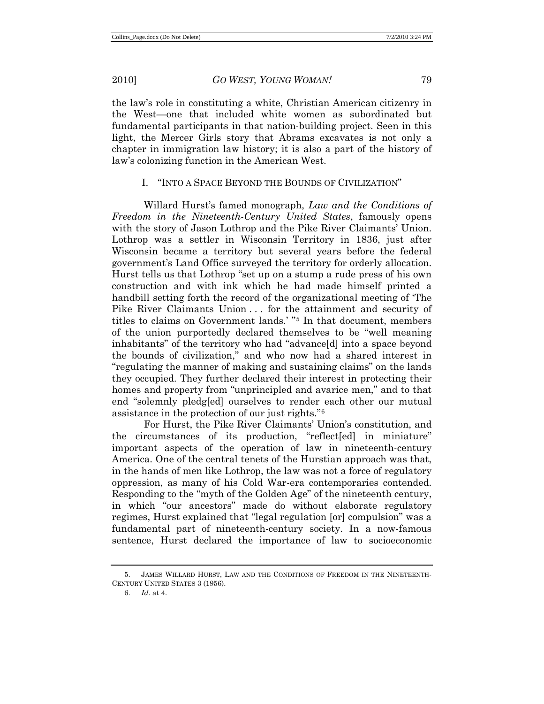the law's role in constituting a white, Christian American citizenry in the West—one that included white women as subordinated but fundamental participants in that nation-building project. Seen in this light, the Mercer Girls story that Abrams excavates is not only a chapter in immigration law history; it is also a part of the history of law's colonizing function in the American West.

### I. "INTO A SPACE BEYOND THE BOUNDS OF CIVILIZATION"

Willard Hurst's famed monograph, *Law and the Conditions of Freedom in the Nineteenth-Century United States*, famously opens with the story of Jason Lothrop and the Pike River Claimants' Union. Lothrop was a settler in Wisconsin Territory in 1836, just after Wisconsin became a territory but several years before the federal government's Land Office surveyed the territory for orderly allocation. Hurst tells us that Lothrop "set up on a stump a rude press of his own construction and with ink which he had made himself printed a handbill setting forth the record of the organizational meeting of 'The Pike River Claimants Union . . . for the attainment and security of titles to claims on Government lands.' "[5](#page-4-0) In that document, members of the union purportedly declared themselves to be "well meaning inhabitants" of the territory who had "advance[d] into a space beyond the bounds of civilization," and who now had a shared interest in "regulating the manner of making and sustaining claims" on the lands they occupied. They further declared their interest in protecting their homes and property from "unprincipled and avarice men," and to that end "solemnly pledg[ed] ourselves to render each other our mutual assistance in the protection of our just rights."[6](#page-4-1)

For Hurst, the Pike River Claimants' Union's constitution, and the circumstances of its production, "reflect[ed] in miniature" important aspects of the operation of law in nineteenth-century America. One of the central tenets of the Hurstian approach was that, in the hands of men like Lothrop, the law was not a force of regulatory oppression, as many of his Cold War-era contemporaries contended. Responding to the "myth of the Golden Age" of the nineteenth century, in which "our ancestors" made do without elaborate regulatory regimes, Hurst explained that "legal regulation [or] compulsion" was a fundamental part of nineteenth-century society. In a now-famous sentence, Hurst declared the importance of law to socioeconomic

<span id="page-4-1"></span><span id="page-4-0"></span><sup>5.</sup> JAMES WILLARD HURST, LAW AND THE CONDITIONS OF FREEDOM IN THE NINETEENTH-CENTURY UNITED STATES 3 (1956).

<sup>6.</sup> *Id.* at 4.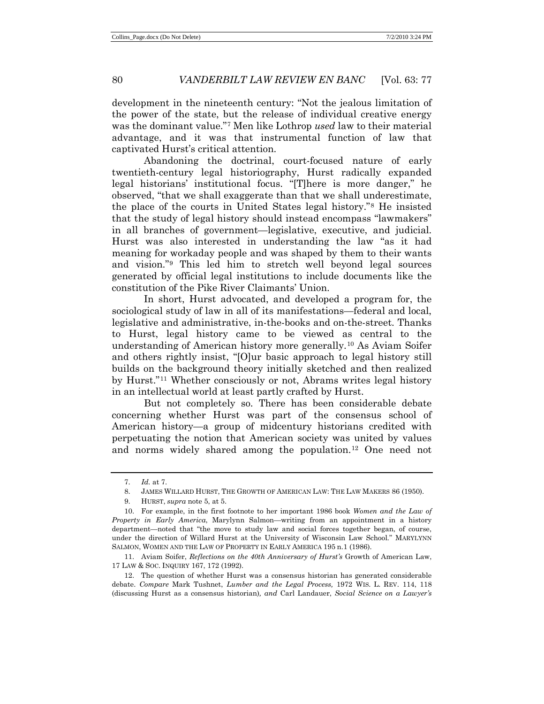development in the nineteenth century: "Not the jealous limitation of the power of the state, but the release of individual creative energy was the dominant value."[7](#page-5-0) Men like Lothrop *used* law to their material advantage, and it was that instrumental function of law that captivated Hurst's critical attention.

Abandoning the doctrinal, court-focused nature of early twentieth-century legal historiography, Hurst radically expanded legal historians' institutional focus. "[T]here is more danger," he observed, "that we shall exaggerate than that we shall underestimate, the place of the courts in United States legal history." [8](#page-5-1) He insisted that the study of legal history should instead encompass "lawmakers" in all branches of government—legislative, executive, and judicial. Hurst was also interested in understanding the law "as it had meaning for workaday people and was shaped by them to their wants and vision."[9](#page-5-2) This led him to stretch well beyond legal sources generated by official legal institutions to include documents like the constitution of the Pike River Claimants' Union.

In short, Hurst advocated, and developed a program for, the sociological study of law in all of its manifestations—federal and local, legislative and administrative, in-the-books and on-the-street. Thanks to Hurst, legal history came to be viewed as central to the understanding of American history more generally. [10](#page-5-3) As Aviam Soifer and others rightly insist, "[O]ur basic approach to legal history still builds on the background theory initially sketched and then realized by Hurst."[11](#page-5-4) Whether consciously or not, Abrams writes legal history in an intellectual world at least partly crafted by Hurst.

But not completely so. There has been considerable debate concerning whether Hurst was part of the consensus school of American history—a group of midcentury historians credited with perpetuating the notion that American society was united by values and norms widely shared among the population. [12](#page-5-5) One need not

<sup>7.</sup> *Id.* at 7.

<sup>8.</sup> JAMES WILLARD HURST, THE GROWTH OF AMERICAN LAW: THE LAW MAKERS 86 (1950).

<sup>9.</sup> HURST, *supra* note 5, at 5.

<span id="page-5-3"></span><span id="page-5-2"></span><span id="page-5-1"></span><span id="page-5-0"></span><sup>10.</sup> For example, in the first footnote to her important 1986 book *Women and the Law of Property in Early America*, Marylynn Salmon—writing from an appointment in a history department—noted that "the move to study law and social forces together began, of course, under the direction of Willard Hurst at the University of Wisconsin Law School*.*" MARYLYNN SALMON, WOMEN AND THE LAW OF PROPERTY IN EARLY AMERICA 195 n.1 (1986).

<span id="page-5-4"></span><sup>11.</sup> Aviam Soifer, *Reflections on the 40th Anniversary of Hurst's* Growth of American Law, 17 LAW & SOC. INQUIRY 167, 172 (1992).

<span id="page-5-5"></span><sup>12.</sup> The question of whether Hurst was a consensus historian has generated considerable debate. *Compare* Mark Tushnet, *Lumber and the Legal Process,* 1972 WIS. L. REV. 114, 118 (discussing Hurst as a consensus historian)*, and* Carl Landauer, *Social Science on a Lawyer's*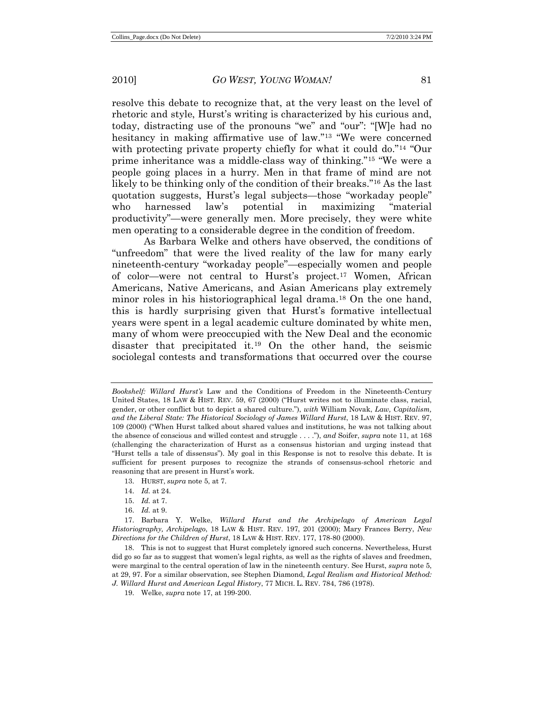resolve this debate to recognize that, at the very least on the level of rhetoric and style, Hurst's writing is characterized by his curious and, today, distracting use of the pronouns "we" and "our": "[W]e had no hesitancy in making affirmative use of law."[13](#page-6-0) "We were concerned with protecting private property chiefly for what it could do."<sup>[14](#page-6-1)</sup> "Our prime inheritance was a middle-class way of thinking."[15](#page-6-2) "We were a people going places in a hurry. Men in that frame of mind are not likely to be thinking only of the condition of their breaks."[16](#page-6-3) As the last quotation suggests, Hurst's legal subjects—those "workaday people" who harnessed law's potential in maximizing "material productivity"—were generally men. More precisely, they were white men operating to a considerable degree in the condition of freedom.

As Barbara Welke and others have observed, the conditions of "unfreedom" that were the lived reality of the law for many early nineteenth-century "workaday people"—especially women and people of color—were not central to Hurst's project. [17](#page-6-4) Women, African Americans, Native Americans, and Asian Americans play extremely minor roles in his historiographical legal drama.[18](#page-6-5) On the one hand, this is hardly surprising given that Hurst's formative intellectual years were spent in a legal academic culture dominated by white men, many of whom were preoccupied with the New Deal and the economic disaster that precipitated it.[19](#page-6-6) On the other hand, the seismic sociolegal contests and transformations that occurred over the course

- 13. HURST, *supra* note 5, at 7.
- 14. *Id.* at 24.
- 15. *Id.* at 7.
- 16. *Id.* at 9.

*Bookshelf: Willard Hurst's* Law and the Conditions of Freedom in the Nineteenth-Century United States, 18 LAW & HIST. REV. 59, 67 (2000) ("Hurst writes not to illuminate class, racial, gender, or other conflict but to depict a shared culture."), *with* William Novak, *Law, Capitalism, and the Liberal State: The Historical Sociology of James Willard Hurst*, 18 LAW & HIST. REV. 97, 109 (2000) ("When Hurst talked about shared values and institutions, he was not talking about the absence of conscious and willed contest and struggle . . . ."), *and* Soifer, *supra* note 11, at 168 (challenging the characterization of Hurst as a consensus historian and urging instead that "Hurst tells a tale of dissensus"). My goal in this Response is not to resolve this debate. It is sufficient for present purposes to recognize the strands of consensus-school rhetoric and reasoning that are present in Hurst's work.

<span id="page-6-4"></span><span id="page-6-3"></span><span id="page-6-2"></span><span id="page-6-1"></span><span id="page-6-0"></span><sup>17.</sup> Barbara Y. Welke, *Willard Hurst and the Archipelago of American Legal Historiography, Archipelago*, 18 LAW & HIST. REV. 197, 201 (2000); Mary Frances Berry, *New Directions for the Children of Hurst*, 18 LAW & HIST. REV. 177, 178-80 (2000).

<span id="page-6-6"></span><span id="page-6-5"></span><sup>18.</sup> This is not to suggest that Hurst completely ignored such concerns. Nevertheless, Hurst did go so far as to suggest that women's legal rights, as well as the rights of slaves and freedmen, were marginal to the central operation of law in the nineteenth century. See Hurst, *supra* note 5, at 29, 97. For a similar observation, see Stephen Diamond, *Legal Realism and Historical Method: J. Willard Hurst and American Legal History*, 77 MICH. L. REV. 784, 786 (1978).

<sup>19.</sup> Welke, *supra* note 17, at 199-200.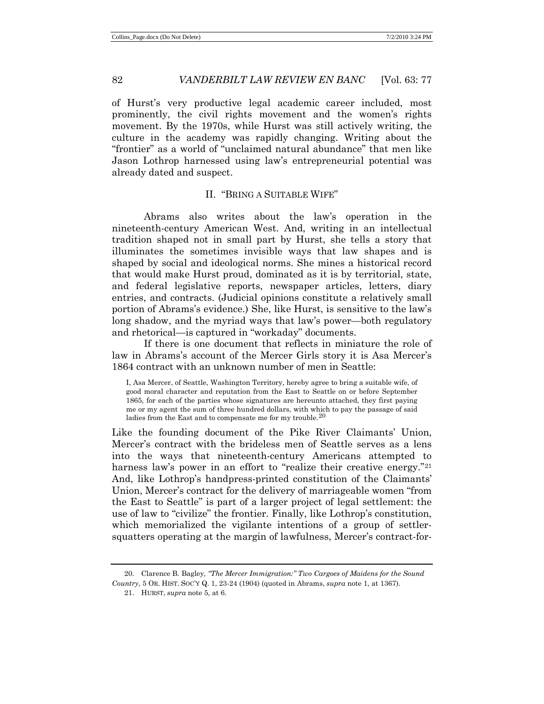of Hurst's very productive legal academic career included, most prominently, the civil rights movement and the women's rights movement. By the 1970s, while Hurst was still actively writing, the culture in the academy was rapidly changing. Writing about the "frontier" as a world of "unclaimed natural abundance" that men like Jason Lothrop harnessed using law's entrepreneurial potential was already dated and suspect.

#### II. "BRING A SUITABLE WIFE"

Abrams also writes about the law's operation in the nineteenth-century American West. And, writing in an intellectual tradition shaped not in small part by Hurst, she tells a story that illuminates the sometimes invisible ways that law shapes and is shaped by social and ideological norms. She mines a historical record that would make Hurst proud, dominated as it is by territorial, state, and federal legislative reports, newspaper articles, letters, diary entries, and contracts. (Judicial opinions constitute a relatively small portion of Abrams's evidence.) She, like Hurst, is sensitive to the law's long shadow, and the myriad ways that law's power—both regulatory and rhetorical—is captured in "workaday" documents.

If there is one document that reflects in miniature the role of law in Abrams's account of the Mercer Girls story it is Asa Mercer's 1864 contract with an unknown number of men in Seattle:

I, Asa Mercer, of Seattle, Washington Territory, hereby agree to bring a suitable wife, of good moral character and reputation from the East to Seattle on or before September 1865, for each of the parties whose signatures are hereunto attached, they first paying me or my agent the sum of three hundred dollars, with which to pay the passage of said ladies from the East and to compensate me for my trouble.<sup>[20](#page-7-0)</sup>

Like the founding document of the Pike River Claimants' Union, Mercer's contract with the brideless men of Seattle serves as a lens into the ways that nineteenth-century Americans attempted to harness law's power in an effort to "realize their creative energy."<sup>[21](#page-7-1)</sup> And, like Lothrop's handpress-printed constitution of the Claimants' Union, Mercer's contract for the delivery of marriageable women "from the East to Seattle" is part of a larger project of legal settlement: the use of law to "civilize" the frontier. Finally, like Lothrop's constitution, which memorialized the vigilante intentions of a group of settlersquatters operating at the margin of lawfulness, Mercer's contract-for-

<span id="page-7-1"></span><span id="page-7-0"></span>20. Clarence B. Bagley, *"The Mercer Immigration:" Two Cargoes of Maidens for the Sound Country*, 5 OR. HIST. SOC'Y Q. 1, 23-24 (1904) (quoted in Abrams, *supra* note 1, at 1367).

<sup>21.</sup> HURST, *supra* note 5, at 6.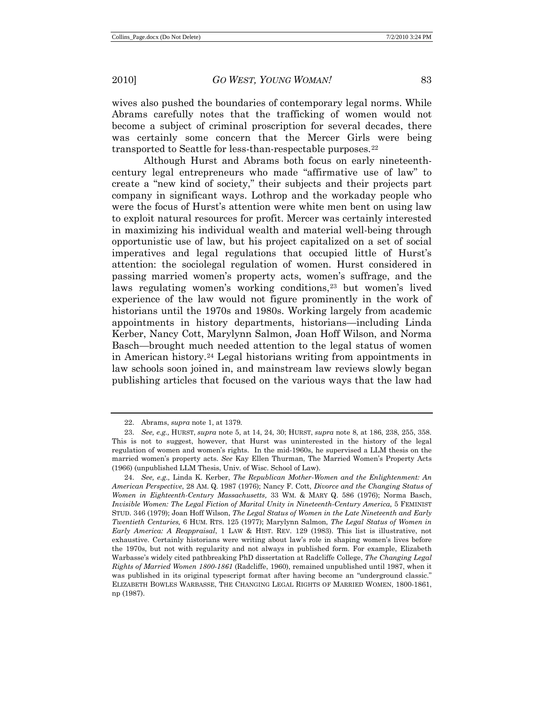wives also pushed the boundaries of contemporary legal norms. While Abrams carefully notes that the trafficking of women would not become a subject of criminal proscription for several decades, there was certainly some concern that the Mercer Girls were being transported to Seattle for less-than-respectable purposes.<sup>[22](#page-8-0)</sup>

Although Hurst and Abrams both focus on early nineteenthcentury legal entrepreneurs who made "affirmative use of law" to create a "new kind of society," their subjects and their projects part company in significant ways. Lothrop and the workaday people who were the focus of Hurst's attention were white men bent on using law to exploit natural resources for profit. Mercer was certainly interested in maximizing his individual wealth and material well-being through opportunistic use of law, but his project capitalized on a set of social imperatives and legal regulations that occupied little of Hurst's attention: the sociolegal regulation of women. Hurst considered in passing married women's property acts, women's suffrage, and the laws regulating women's working conditions,<sup>[23](#page-8-1)</sup> but women's lived experience of the law would not figure prominently in the work of historians until the 1970s and 1980s. Working largely from academic appointments in history departments, historians—including Linda Kerber, Nancy Cott, Marylynn Salmon, Joan Hoff Wilson, and Norma Basch—brought much needed attention to the legal status of women in American history.[24](#page-8-2) Legal historians writing from appointments in law schools soon joined in, and mainstream law reviews slowly began publishing articles that focused on the various ways that the law had

<sup>22.</sup> Abrams, *supra* note 1, at 1379.

<span id="page-8-1"></span><span id="page-8-0"></span><sup>23.</sup> *See, e.g.,* HURST, *supra* note 5, at 14, 24, 30; HURST, *supra* note 8, at 186, 238, 255, 358. This is not to suggest, however, that Hurst was uninterested in the history of the legal regulation of women and women's rights. In the mid-1960s, he supervised a LLM thesis on the married women's property acts. *See* Kay Ellen Thurman, The Married Women's Property Acts (1966) (unpublished LLM Thesis, Univ. of Wisc. School of Law).

<span id="page-8-2"></span><sup>24.</sup> *See, e.g.,* Linda K. Kerber, *The Republican Mother-Women and the Enlightenment: An American Perspective*, 28 AM. Q. 1987 (1976); Nancy F. Cott, *Divorce and the Changing Status of Women in Eighteenth-Century Massachusetts,* 33 WM. & MARY Q. 586 (1976); Norma Basch, *Invisible Women: The Legal Fiction of Marital Unity in Nineteenth-Century America,* 5 FEMINIST STUD. 346 (1979); Joan Hoff Wilson, *The Legal Status of Women in the Late Nineteenth and Early Twentieth Centuries,* 6 HUM. RTS. 125 (1977); Marylynn Salmon, *The Legal Status of Women in Early America: A Reappraisal*, 1 LAW & HIST. REV. 129 (1983). This list is illustrative, not exhaustive. Certainly historians were writing about law's role in shaping women's lives before the 1970s, but not with regularity and not always in published form. For example, Elizabeth Warbasse's widely cited pathbreaking PhD dissertation at Radcliffe College, *The Changing Legal Rights of Married Women 1800-1861* (Radcliffe, 1960), remained unpublished until 1987, when it was published in its original typescript format after having become an "underground classic." ELIZABETH BOWLES WARBASSE, THE CHANGING LEGAL RIGHTS OF MARRIED WOMEN, 1800-1861, np (1987).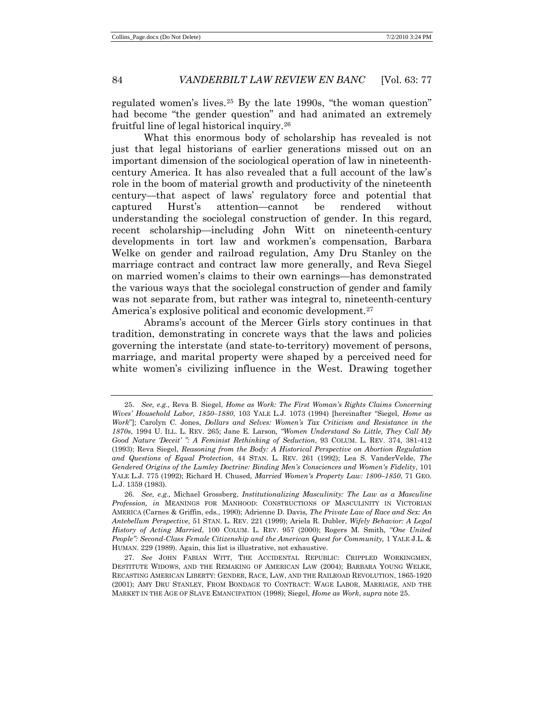regulated women's lives.[25](#page-9-0) By the late 1990s, "the woman question" had become "the gender question" and had animated an extremely fruitful line of legal historical inquiry.[26](#page-9-1)

What this enormous body of scholarship has revealed is not just that legal historians of earlier generations missed out on an important dimension of the sociological operation of law in nineteenthcentury America. It has also revealed that a full account of the law's role in the boom of material growth and productivity of the nineteenth century—that aspect of laws' regulatory force and potential that captured Hurst's attention—cannot be rendered without understanding the sociolegal construction of gender. In this regard, recent scholarship—including John Witt on nineteenth-century developments in tort law and workmen's compensation, Barbara Welke on gender and railroad regulation, Amy Dru Stanley on the marriage contract and contract law more generally, and Reva Siegel on married women's claims to their own earnings—has demonstrated the various ways that the sociolegal construction of gender and family was not separate from, but rather was integral to, nineteenth-century America's explosive political and economic development.<sup>[27](#page-9-2)</sup>

Abrams's account of the Mercer Girls story continues in that tradition, demonstrating in concrete ways that the laws and policies governing the interstate (and state-to-territory) movement of persons, marriage, and marital property were shaped by a perceived need for white women's civilizing influence in the West. Drawing together

<span id="page-9-0"></span><sup>25.</sup> *See, e.g.,* Reva B. Siegel, *Home as Work: The First Woman's Rights Claims Concerning Wives' Household Labor, 1850–1880*, 103 YALE L.J. 1073 (1994) [hereinafter "Siegel, *Home as Work*"]; Carolyn C. Jones, *Dollars and Selves: Women's Tax Criticism and Resistance in the 1870s*, 1994 U. ILL. L. REV. 265; Jane E. Larson*, "Women Understand So Little, They Call My Good Nature 'Deceit' ": A Feminist Rethinking of Seduction*, 93 COLUM. L. REV. 374, 381-412 (1993); Reva Siegel, *Reasoning from the Body: A Historical Perspective on Abortion Regulation and Questions of Equal Protection*, 44 STAN. L. REV. 261 (1992); Lea S. VanderVelde, *The Gendered Origins of the Lumley Doctrine: Binding Men's Consciences and Women's Fidelity*, 101 YALE L.J. 775 (1992); Richard H. Chused, *Married Women's Property Law: 1800–1850*, 71 GEO. L.J. 1359 (1983).

<span id="page-9-1"></span><sup>26.</sup> *See, e.g.,* Michael Grossberg, *Institutionalizing Masculinity: The Law as a Masculine Profession, in* MEANINGS FOR MANHOOD: CONSTRUCTIONS OF MASCULINITY IN VICTORIAN AMERICA (Carnes & Griffin, eds., 1990); Adrienne D. Davis*, The Private Law of Race and Sex: An Antebellum Perspective,* 51 STAN. L. REV. 221 (1999); Ariela R. Dubler, *Wifely Behavior: A Legal History of Acting Married*, 100 COLUM. L. REV. 957 (2000); Rogers M. Smith, *"One United People": Second-Class Female Citizenship and the American Quest for Community,* 1 YALE J.L. & HUMAN. 229 (1989). Again, this list is illustrative, not exhaustive.

<span id="page-9-2"></span><sup>27.</sup> *See* JOHN FABIAN WITT, THE ACCIDENTAL REPUBLIC: CRIPPLED WORKINGMEN, DESTITUTE WIDOWS, AND THE REMAKING OF AMERICAN LAW (2004); BARBARA YOUNG WELKE, RECASTING AMERICAN LIBERTY: GENDER, RACE, LAW, AND THE RAILROAD REVOLUTION, 1865-1920 (2001); AMY DRU STANLEY, FROM BONDAGE TO CONTRACT: WAGE LABOR, MARRIAGE, AND THE MARKET IN THE AGE OF SLAVE EMANCIPATION (1998); Siegel, *Home as Work*, *supra* note 25.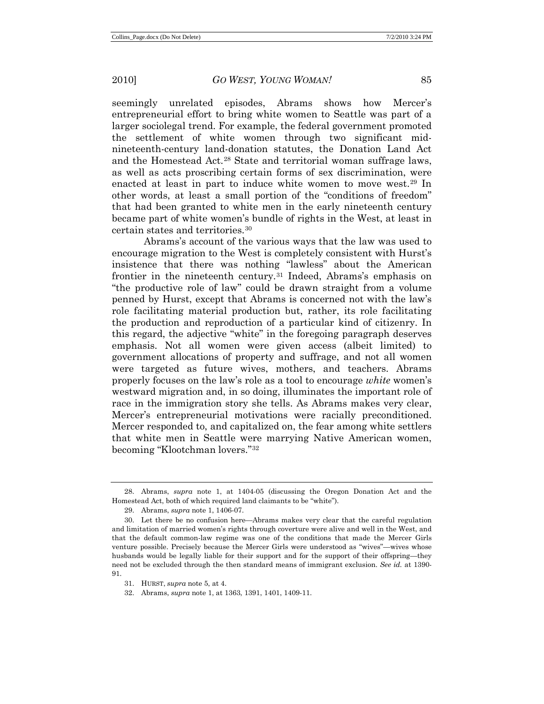seemingly unrelated episodes, Abrams shows how Mercer's entrepreneurial effort to bring white women to Seattle was part of a larger sociolegal trend. For example, the federal government promoted the settlement of white women through two significant midnineteenth-century land-donation statutes, the Donation Land Act and the Homestead Act.[28](#page-10-0) State and territorial woman suffrage laws, as well as acts proscribing certain forms of sex discrimination, were enacted at least in part to induce white women to move west.[29](#page-10-1) In other words, at least a small portion of the "conditions of freedom" that had been granted to white men in the early nineteenth century became part of white women's bundle of rights in the West, at least in certain states and territories.[30](#page-10-2)

Abrams's account of the various ways that the law was used to encourage migration to the West is completely consistent with Hurst's insistence that there was nothing "lawless" about the American frontier in the nineteenth century.[31](#page-10-3) Indeed, Abrams's emphasis on "the productive role of law" could be drawn straight from a volume penned by Hurst, except that Abrams is concerned not with the law's role facilitating material production but, rather, its role facilitating the production and reproduction of a particular kind of citizenry. In this regard, the adjective "white" in the foregoing paragraph deserves emphasis. Not all women were given access (albeit limited) to government allocations of property and suffrage, and not all women were targeted as future wives, mothers, and teachers. Abrams properly focuses on the law's role as a tool to encourage *white* women's westward migration and, in so doing, illuminates the important role of race in the immigration story she tells. As Abrams makes very clear, Mercer's entrepreneurial motivations were racially preconditioned. Mercer responded to, and capitalized on, the fear among white settlers that white men in Seattle were marrying Native American women, becoming "Klootchman lovers."[32](#page-10-4)

<span id="page-10-0"></span><sup>28.</sup> Abrams, *supra* note 1, at 1404-05 (discussing the Oregon Donation Act and the Homestead Act, both of which required land claimants to be "white").

<sup>29.</sup> Abrams, *supra* note 1, 1406-07.

<span id="page-10-2"></span><span id="page-10-1"></span><sup>30.</sup> Let there be no confusion here—Abrams makes very clear that the careful regulation and limitation of married women's rights through coverture were alive and well in the West, and that the default common-law regime was one of the conditions that made the Mercer Girls venture possible. Precisely because the Mercer Girls were understood as "wives"—wives whose husbands would be legally liable for their support and for the support of their offspring—they need not be excluded through the then standard means of immigrant exclusion. *See id.* at 1390- 91.

<sup>31.</sup> HURST, *supra* note 5, at 4.

<span id="page-10-4"></span><span id="page-10-3"></span><sup>32.</sup> Abrams, *supra* note 1, at 1363, 1391, 1401, 1409-11.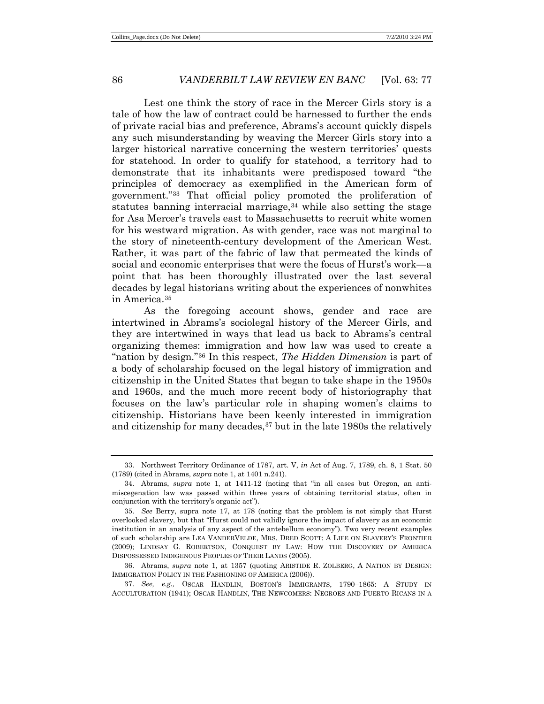Lest one think the story of race in the Mercer Girls story is a tale of how the law of contract could be harnessed to further the ends of private racial bias and preference, Abrams's account quickly dispels any such misunderstanding by weaving the Mercer Girls story into a larger historical narrative concerning the western territories' quests for statehood. In order to qualify for statehood, a territory had to demonstrate that its inhabitants were predisposed toward "the principles of democracy as exemplified in the American form of government."[33](#page-11-0) That official policy promoted the proliferation of statutes banning interracial marriage,  $34$  while also setting the stage for Asa Mercer's travels east to Massachusetts to recruit white women for his westward migration. As with gender, race was not marginal to the story of nineteenth-century development of the American West. Rather, it was part of the fabric of law that permeated the kinds of social and economic enterprises that were the focus of Hurst's work—a point that has been thoroughly illustrated over the last several decades by legal historians writing about the experiences of nonwhites in America.[35](#page-11-2)

As the foregoing account shows, gender and race are intertwined in Abrams's sociolegal history of the Mercer Girls, and they are intertwined in ways that lead us back to Abrams's central organizing themes: immigration and how law was used to create a "nation by design.["36](#page-11-3) In this respect, *The Hidden Dimension* is part of a body of scholarship focused on the legal history of immigration and citizenship in the United States that began to take shape in the 1950s and 1960s, and the much more recent body of historiography that focuses on the law's particular role in shaping women's claims to citizenship. Historians have been keenly interested in immigration and citizenship for many decades,[37](#page-11-4) but in the late 1980s the relatively

<span id="page-11-0"></span><sup>33.</sup> Northwest Territory Ordinance of 1787, art. V, *in* Act of Aug. 7, 1789, ch. 8, 1 Stat. 50 (1789) (cited in Abrams, *supra* note 1, at 1401 n.241).

<span id="page-11-1"></span><sup>34.</sup> Abrams, *supra* note 1, at 1411-12 (noting that "in all cases but Oregon, an antimiscegenation law was passed within three years of obtaining territorial status, often in conjunction with the territory's organic act").

<span id="page-11-2"></span><sup>35.</sup> *See* Berry, supra note 17, at 178 (noting that the problem is not simply that Hurst overlooked slavery, but that "Hurst could not validly ignore the impact of slavery as an economic institution in an analysis of any aspect of the antebellum economy"). Two very recent examples of such scholarship are LEA VANDERVELDE, MRS. DRED SCOTT: A LIFE ON SLAVERY'S FRONTIER (2009); LINDSAY G. ROBERTSON, CONQUEST BY LAW: HOW THE DISCOVERY OF AMERICA DISPOSSESSED INDIGENOUS PEOPLES OF THEIR LANDS (2005).

<span id="page-11-3"></span><sup>36.</sup> Abrams, *supra* note 1, at 1357 (quoting ARISTIDE R. ZOLBERG, A NATION BY DESIGN: IMMIGRATION POLICY IN THE FASHIONING OF AMERICA (2006)).

<span id="page-11-4"></span><sup>37.</sup> *See, e.g.,* OSCAR HANDLIN, BOSTON'S IMMIGRANTS, 1790–1865: A STUDY IN ACCULTURATION (1941); OSCAR HANDLIN, THE NEWCOMERS: NEGROES AND PUERTO RICANS IN A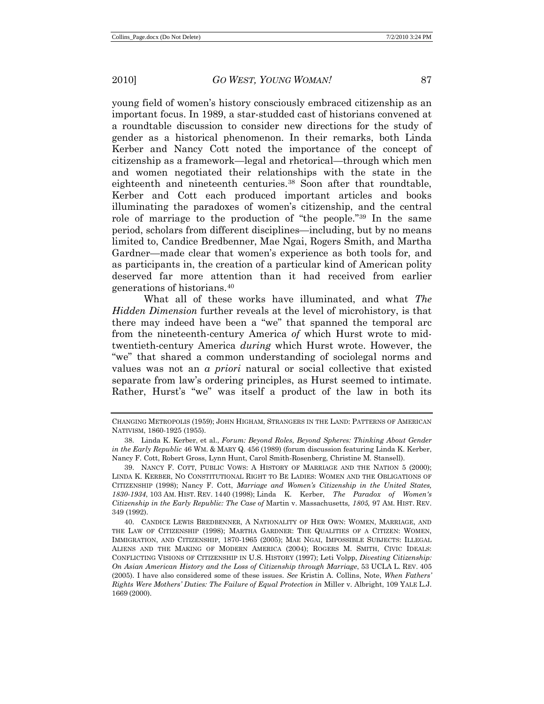young field of women's history consciously embraced citizenship as an important focus. In 1989, a star-studded cast of historians convened at a roundtable discussion to consider new directions for the study of gender as a historical phenomenon. In their remarks, both Linda Kerber and Nancy Cott noted the importance of the concept of citizenship as a framework—legal and rhetorical—through which men and women negotiated their relationships with the state in the eighteenth and nineteenth centuries.[38](#page-12-0) Soon after that roundtable, Kerber and Cott each produced important articles and books illuminating the paradoxes of women's citizenship, and the central role of marriage to the production of "the people."[39](#page-12-1) In the same period, scholars from different disciplines—including, but by no means limited to, Candice Bredbenner, Mae Ngai, Rogers Smith, and Martha Gardner—made clear that women's experience as both tools for, and as participants in, the creation of a particular kind of American polity deserved far more attention than it had received from earlier generations of historians.[40](#page-12-2)

What all of these works have illuminated, and what *The Hidden Dimension* further reveals at the level of microhistory, is that there may indeed have been a "we" that spanned the temporal arc from the nineteenth-century America *of* which Hurst wrote to midtwentieth-century America *during* which Hurst wrote. However, the "we" that shared a common understanding of sociolegal norms and values was not an *a priori* natural or social collective that existed separate from law's ordering principles, as Hurst seemed to intimate. Rather, Hurst's "we" was itself a product of the law in both its

CHANGING METROPOLIS (1959); JOHN HIGHAM, STRANGERS IN THE LAND: PATTERNS OF AMERICAN NATIVISM, 1860-1925 (1955).

<span id="page-12-0"></span><sup>38.</sup> Linda K. Kerber, et al., *Forum: Beyond Roles, Beyond Spheres: Thinking About Gender in the Early Republic* 46 WM. & MARY Q. 456 (1989) (forum discussion featuring Linda K. Kerber, Nancy F. Cott, Robert Gross, Lynn Hunt, Carol Smith-Rosenberg, Christine M. Stansell).

<span id="page-12-1"></span><sup>39.</sup> NANCY F. COTT, PUBLIC VOWS: A HISTORY OF MARRIAGE AND THE NATION 5 (2000); LINDA K. KERBER, NO CONSTITUTIONAL RIGHT TO BE LADIES: WOMEN AND THE OBLIGATIONS OF CITIZENSHIP (1998); Nancy F. Cott, *Marriage and Women's Citizenship in the United States, 1830-1934*, 103 AM. HIST. REV. 1440 (1998); Linda K. Kerber, *The Paradox of Women's Citizenship in the Early Republic: The Case of* Martin v. Massachusetts*, 1805,* 97 AM. HIST. REV. 349 (1992).

<span id="page-12-2"></span><sup>40.</sup> CANDICE LEWIS BREDBENNER, A NATIONALITY OF HER OWN: WOMEN, MARRIAGE, AND THE LAW OF CITIZENSHIP (1998); MARTHA GARDNER: THE QUALITIES OF A CITIZEN: WOMEN, IMMIGRATION, AND CITIZENSHIP, 1870-1965 (2005); MAE NGAI, IMPOSSIBLE SUBJECTS: ILLEGAL ALIENS AND THE MAKING OF MODERN AMERICA (2004); ROGERS M. SMITH, CIVIC IDEALS: CONFLICTING VISIONS OF CITIZENSHIP IN U.S. HISTORY (1997); Leti Volpp, *Divesting Citizenship: On Asian American History and the Loss of Citizenship through Marriage*, 53 UCLA L. REV. 405 (2005). I have also considered some of these issues. *See* Kristin A. Collins, Note, *When Fathers' Rights Were Mothers' Duties: The Failure of Equal Protection in* Miller v. Albright, 109 YALE L.J. 1669 (2000).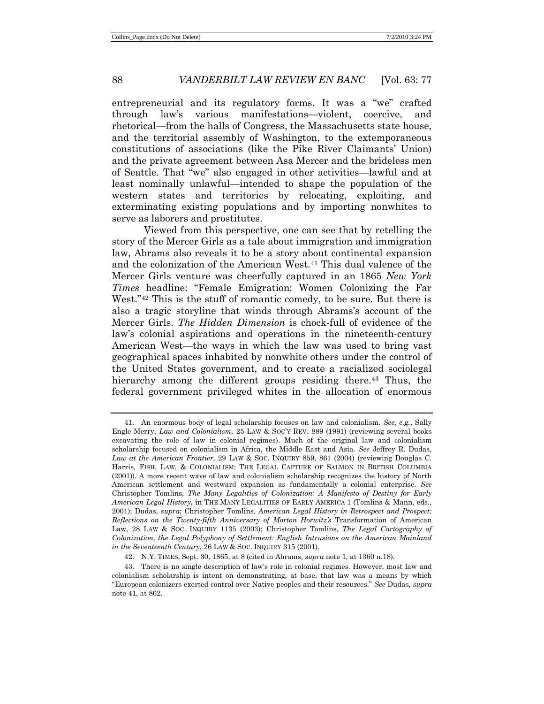entrepreneurial and its regulatory forms. It was a "we" crafted through law's various manifestations—violent, coercive, and rhetorical—from the halls of Congress, the Massachusetts state house, and the territorial assembly of Washington, to the extemporaneous constitutions of associations (like the Pike River Claimants' Union) and the private agreement between Asa Mercer and the brideless men of Seattle. That "we" also engaged in other activities—lawful and at least nominally unlawful—intended to shape the population of the western states and territories by relocating, exploiting, and exterminating existing populations and by importing nonwhites to serve as laborers and prostitutes.

Viewed from this perspective, one can see that by retelling the story of the Mercer Girls as a tale about immigration and immigration law, Abrams also reveals it to be a story about continental expansion and the colonization of the American West.[41](#page-13-0) This dual valence of the Mercer Girls venture was cheerfully captured in an 1865 *New York Times* headline: "Female Emigration: Women Colonizing the Far West.<sup>["42](#page-13-1)</sup> This is the stuff of romantic comedy, to be sure. But there is also a tragic storyline that winds through Abrams's account of the Mercer Girls. *The Hidden Dimension* is chock-full of evidence of the law's colonial aspirations and operations in the nineteenth-century American West—the ways in which the law was used to bring vast geographical spaces inhabited by nonwhite others under the control of the United States government, and to create a racialized sociolegal hierarchy among the different groups residing there.<sup>[43](#page-13-2)</sup> Thus, the federal government privileged whites in the allocation of enormous

<span id="page-13-0"></span><sup>41.</sup> An enormous body of legal scholarship focuses on law and colonialism. *See, e.g.*, Sally Engle Merry, *Law and Colonialism,* 25 LAW & SOC'Y REV. 889 (1991) (reviewing several books excavating the role of law in colonial regimes). Much of the original law and colonialism scholarship focused on colonialism in Africa, the Middle East and Asia. *See* Jeffrey R. Dudas, *Law at the American Frontier*, 29 LAW & SOC. INQUIRY 859, 861 (2004) (reviewing Douglas C. Harris, FISH, LAW, & COLONIALISM: THE LEGAL CAPTURE OF SALMON IN BRITISH COLUMBIA (2001)). A more recent wave of law and colonialism scholarship recognizes the history of North American settlement and westward expansion as fundamentally a colonial enterprise. *See*  Christopher Tomlins, *The Many Legalities of Colonization: A Manifesto of Destiny for Early American Legal History*, in THE MANY LEGALITIES OF EARLY AMERICA 1 (Tomlins & Mann, eds., 2001); Dudas, *supra*; Christopher Tomlins, *American Legal History in Retrospect and Prospect: Reflections on the Twenty-fifth Anniversary of Morton Horwitz's* Transformation of American Law, 28 LAW & SOC. INQUIRY 1135 (2003); Christopher Tomlins, *The Legal Cartography of Colonization, the Legal Polyphony of Settlement: English Intrusions on the American Mainland in the Seventeenth Century*, 26 LAW & SOC. INQUIRY 315 (2001).

<sup>42.</sup> N.Y. TIMES, Sept. 30, 1865, at 8 (cited in Abrams, *supra* note 1, at 1360 n.18).

<span id="page-13-2"></span><span id="page-13-1"></span><sup>43.</sup> There is no single description of law's role in colonial regimes. However, most law and colonialism scholarship is intent on demonstrating, at base, that law was a means by which "European colonizers exerted control over Native peoples and their resources." *See* Dudas*, supra*  note 41, at 862.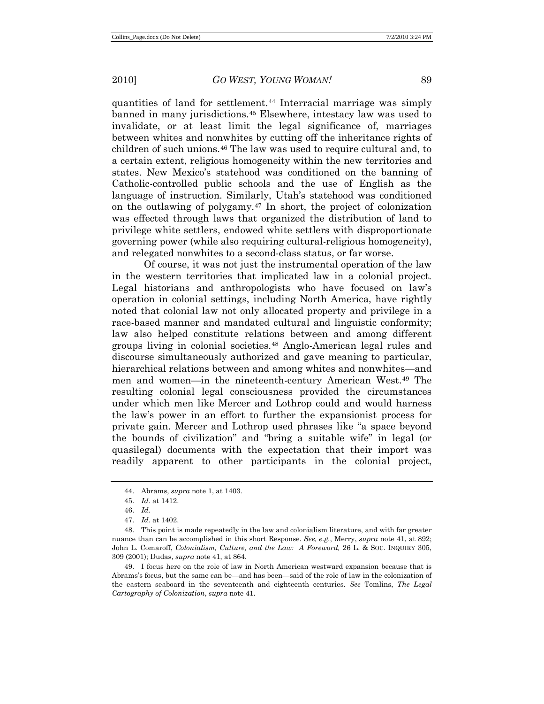quantities of land for settlement.[44](#page-14-0) Interracial marriage was simply banned in many jurisdictions.[45](#page-14-1) Elsewhere, intestacy law was used to invalidate, or at least limit the legal significance of, marriages between whites and nonwhites by cutting off the inheritance rights of children of such unions.[46](#page-14-2) The law was used to require cultural and, to a certain extent, religious homogeneity within the new territories and states. New Mexico's statehood was conditioned on the banning of Catholic-controlled public schools and the use of English as the language of instruction. Similarly, Utah's statehood was conditioned on the outlawing of polygamy.[47](#page-14-3) In short, the project of colonization was effected through laws that organized the distribution of land to privilege white settlers, endowed white settlers with disproportionate governing power (while also requiring cultural-religious homogeneity), and relegated nonwhites to a second-class status, or far worse.

Of course, it was not just the instrumental operation of the law in the western territories that implicated law in a colonial project. Legal historians and anthropologists who have focused on law's operation in colonial settings, including North America, have rightly noted that colonial law not only allocated property and privilege in a race-based manner and mandated cultural and linguistic conformity; law also helped constitute relations between and among different groups living in colonial societies. [48](#page-14-4) Anglo-American legal rules and discourse simultaneously authorized and gave meaning to particular, hierarchical relations between and among whites and nonwhites—and men and women—in the nineteenth-century American West.[49](#page-14-5) The resulting colonial legal consciousness provided the circumstances under which men like Mercer and Lothrop could and would harness the law's power in an effort to further the expansionist process for private gain. Mercer and Lothrop used phrases like "a space beyond the bounds of civilization" and "bring a suitable wife" in legal (or quasilegal) documents with the expectation that their import was readily apparent to other participants in the colonial project,

<span id="page-14-5"></span>49. I focus here on the role of law in North American westward expansion because that is Abrams's focus, but the same can be—and has been—said of the role of law in the colonization of the eastern seaboard in the seventeenth and eighteenth centuries. *See* Tomlins, *The Legal Cartography of Colonization*, *supra* note 41.

<sup>44.</sup> Abrams, *supra* note 1, at 1403.

<sup>45.</sup> *Id.* at 1412.

<sup>46.</sup> *Id.*

<sup>47.</sup> *Id.* at 1402.

<span id="page-14-4"></span><span id="page-14-3"></span><span id="page-14-2"></span><span id="page-14-1"></span><span id="page-14-0"></span><sup>48.</sup> This point is made repeatedly in the law and colonialism literature, and with far greater nuance than can be accomplished in this short Response. *See, e.g.*, Merry, *supra* note 41, at 892; John L. Comaroff, *Colonialism, Culture, and the Law: A Foreword,* 26 L. & SOC. INQUIRY 305, 309 (2001); Dudas, *supra* note 41, at 864.